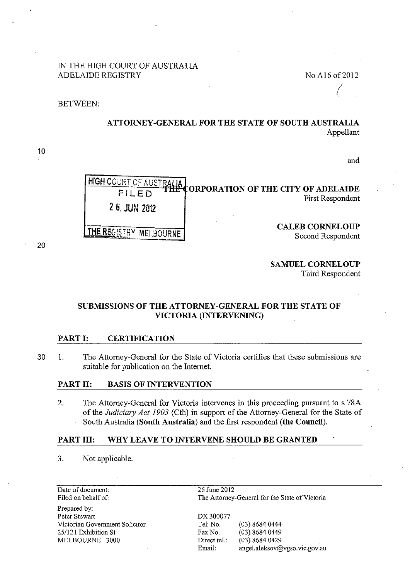## IN THE HIGH COURT OF AUSTRALIA ADELAIDE REGISTRY No Al6 of 2012

(

BETWEEN:

10

20

# ATTORNEY-GENERAL FOR THE STATE OF SOUTH AUSTRALIA Appellant

and

| 2 6 JUN 2012 | HIGH COURT OF AUSTRALIA CORPORATION OF THE CITY OF ADELAIDE<br><b>First Respondent</b> |
|--------------|----------------------------------------------------------------------------------------|
| MELBO        | <b>CALEB CORNELOUP</b><br>Second Respondent                                            |

SAMUEL CORNELOUP

Third Respondent

### SUBMISSIONS OF THE ATTORNEY-GENERAL FOR THE STATE OF VICTORIA (INTERVENING)

### PART I: CERTIFICATION

30 I. The Attorney-General for the State of Victoria certifies that these submissions are suitable for publication on the Internet.

#### PART II: BASIS OF INTERVENTION

2. The Attorney-General for Victoria intervenes in this proceeding pursuant to s 78A of the *Judicimy Act 1903* (Cth) in support of the Attorney-General for the State of South Australia (South Australia) and the first respondent (the Council).

## PART III: WHY LEAVE TO INTERVENE SHOULD BE GRANTED

3. Not applicable.

| Date of document:              | 26 June 2012                                   |                               |
|--------------------------------|------------------------------------------------|-------------------------------|
| Filed on behalf of:            | The Attorney-General for the State of Victoria |                               |
| Prepared by:                   |                                                |                               |
| Peter Stewart                  | DX 300077                                      |                               |
| Victorian Government Solicitor | Tel. No.                                       | (03) 8684 0444                |
| 25/121 Exhibition St           | Fax No.                                        | $(03)$ 8684 0449              |
| MELBOURNE 3000                 | Direct tel.:                                   | $(03)$ 8684 0429              |
|                                | Email.                                         | angel.aleksov@vgso.vic.gov.au |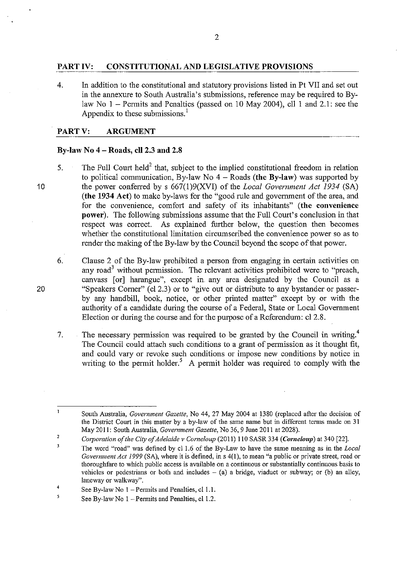### **PART IV: CONSTITUTIONAL AND LEGISLATIVE PROVISIONS**

4. In addition to the constitutional and statutory provisions listed in Pt VII and set out in the annexure to South Australia's submissions, reference may be required to Bylaw No  $1$  – Permits and Penalties (passed on 10 May 2004), cll 1 and 2.1; see the Appendix to these submissions.<sup>1</sup>

### **PARTV: ARGUMENT**

### **By-law No 4- Roads, cll2.3 and 2.8**

- 5. The Full Court held<sup>2</sup> that, subject to the implied constitutional freedom in relation to political communication, By-law No  $4 -$ Roads (the By-law) was supported by the power conferred by s 667(1)9(XVI) of the *Local Government Act 1934* (SA) (the 1934 Act) to make by-laws for the "good rule and government of the area, and for the convenience, comfort and safety of its inhabitants" (the convenience **power).** The following submissions assume that the Full Court's conclusion in that respect was correct. As explained further below, the question then becomes whether the constitutional limitation circumscribed the convenience power so as to render the making of the By-law by the Council beyond the scope of that power.
	- 6. Clause 2 of the By-law prohibited a person from engaging in certain activities on any road<sup>3</sup> without permission. The relevant activities prohibited were to "preach, canvass [or] harangue", except in. any area designated by the Council as a "Speakers Corner" (cl 2.3) or to "give out or distribute to any bystander or passerby any handbill, book, notice, or other printed matter" except by or with the authority of a candidate during the course of a Federal, State or Local Government Election or during the course and for the purpose of a Referendum: cl 2.8.
- 7. The necessary permission was required to be granted by the Council in writing.<sup>4</sup> The Council could attach such conditions to a grant of pennission as it thought fit, and could vary or revoke such conditions or impose new conditions by notice in writing to the permit holder.<sup>5</sup> A permit holder was required to comply with the

20

 $\mathbf{1}$ 

South Australia, *Government Gazette,* No 44, 27 May 2004 at 1380 (replaced after the decision of the District Court in this matter by a by-law of the same name but in different terms made on 31 May 2011: South Australia, *Government Gazette,* No 36, 9 June 2011 at 2028).

<sup>2</sup>  *Corporation of the City of Adelaide v Corneloup* (2011) 110 SASR 334 *(Comeloup)* at 340 [22].

 $\overline{\mathbf{3}}$ The word "road" was defined by cl 1.6 of the By-Law to have the same meaning as in the *Local Government Act 1999* (SA), where it is defined, in s 4(1), to mean "a public or private street, road or thoroughfare to which public access is available on a continuous or substantially continuous basis to vehicles or pedestrians or both and includes  $-$  (a) a bridge, viaduct or subway; or (b) an alley, **laneway or walkway".** 

<sup>4</sup>  See By-law No  $1$  – Permits and Penalties, cl 1.1.

 $\overline{\mathbf{5}}$ See By-law No  $1$  – Permits and Penalties, cl 1.2.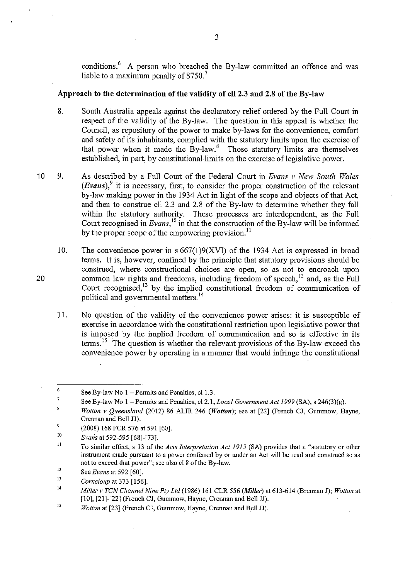conditions.<sup>6</sup> A person who breached the By-law committed an offence and was liable to a maximum penalty of  $$750.<sup>7</sup>$ 

#### **Approach to the determination of the validity of cll2.3 and 2.8 of the By-law**

- 8. South Australia appeals against the declaratory relief ordered by the Full Court in respect of the validity of the By-law. The question in this appeal is whether the Council, as repository of the power to make by-laws for the convenience, comfort and safety of its inhabitants, complied with the statutory limits upon the exercise of that power when it made the  $Bv$ -law.<sup>8</sup> Those statutory limits are themselves established, in part, by constitutional limits on the exercise of legislative power.
- 10 9. As described by a Full Court of the Federal Court in *Evans v New South Wales (Evans), <sup>9</sup>*it is necessary, first, to consider the proper construction of the relevant by-law making power in the 1934 Act in light of the scope and objects of that Act, and then to constme ell 2.3 and 2.8 of the By-law to determine whether they fall within the statutory authority. These processes are interdependent, as the Full Court recognised in *Evans,* 10 in that the construction of the By-law will be infonned by the proper scope of the empowering provision.<sup>11</sup>
	- 10. The convenience power in  $s 667(1)9(XVI)$  of the 1934 Act is expressed in broad terms. It is, however, confined by the principle that statutory provisions should be construed, where constructional choices are open, so as not to encroach upon common law rights and freedoms, including freedom of speech,  $^{12}$  and, as the Full Court recognised,  $\frac{13}{13}$  by the implied constitutional freedom of communication of political and govennnental matters. 14
	- 11. No question of the validity of the convenience power arises: it is susceptible of exercise in accordance with the constitutional restriction upon legislative power that is imposed by the implied freedom of communication and so is effective in its terms.<sup>15</sup> The question is whether the relevant provisions of the By-law exceed the convenience power by operating in a manner that would infringe the constitutional

<sup>6</sup>  See By-law No  $1$  – Permits and Penalties, cl 1.3.

<sup>7</sup>  See By-law No I -Permits and Penalties, cl2.1, *Local Government Act 1999* (SA), s 246(3)(g).

 $\bf{8}$ *Wotton v Queensland* (2012) 86 ALJR 246 *(Wotton);* see at [22] (French CJ, Gummow, Hayne, Crennan and Bell JJ).

<sup>9</sup>  (2008) 168 FCR 576 at 591 [60].

IO *Evans* at 592-595 [68]-[73].

II To similar effect, s 13 of the *Acts Interpretation Act 1915* (SA) provides that a "statutory or other instrument made pursuant to a power conferred by or under an Act will be read and construed so as not to exceed that power"; see also cl 8 of the By-law.

<sup>12</sup>  See *Evans* at 592 [60].

 $13$ *Corneloup* at 373 [156].

<sup>14</sup>  *Miller v TCN Channel Nine Pty Ltd* (1986) 161 CLR 556 *(Miller)* at 613-614 (Brem1an J); *Wotton* at [10], [21]-[22] (French CJ, Gummow, Hayne, Crennan and Bell JJ).

 $15$ *Wotton* at [23] (French CJ, Gummow, Havne, Crennan and Bell JJ).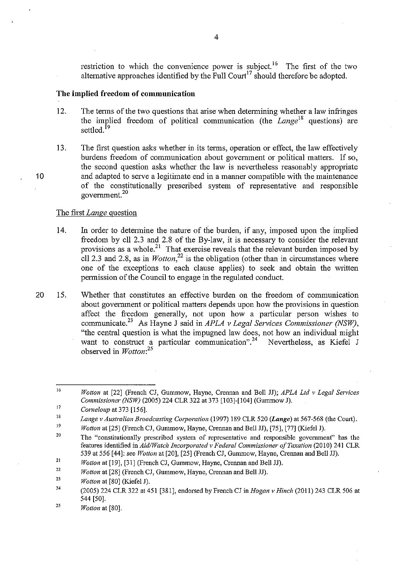restriction to which the convenience power is subject.<sup>16</sup> The first of the two alternative approaches identified by the Full Court<sup>17</sup> should therefore be adopted.

#### **The implied freedom of communication**

- 12. The terms of the two questions that arise when determining whether a law infringes the implied freedom of political communication (the  $Lange^{18}$  questions) are settled.<sup>19</sup>
- 13. The first question asks whether in its terms, operation or effect, the law effectively burdens freedom of communication about government or political matters. If so, the second question asks whether the law is nevertheless reasonably appropriate and adapted to serve a legitimate end in a manner compatible with the maintenance of the constitutionally prescribed system of representative and responsible govemment.<sup>20</sup>

#### The first *Lange* question

- 14. In order to detennine the nature of the burden, if any, imposed upon the implied freedom by ell 2.3 and 2.8 of the By-law, it is necessary to consider the relevant provisions as a whole.<sup>21</sup> That exercise reveals that the relevant burden imposed by ell 2.3 and 2.8, as in  $W_0$  *wotton*<sup>22</sup> is the obligation (other than in circumstances where one of the exceptions to each clause applies) to seek and obtain the written permission of the Council to engage in the regulated conduct.
- 20 15. Whether that constitutes an effective burden on the freedom of communication about government or political matters depends upon how the provisions in question affect the freedom generally, not upon how a particular person wishes to communicate.23 As Hayne J said in *APLA v Legal Services Commissioner (NSW),*  "the central question is what the impugned law does, not how an individual might want to construct a particular communication".<sup>24</sup> Nevertheless, as Kiefel J want to construct a particular communication". $24 \times 10^{-10}$ observed in *Wotton: <sup>25</sup>*

<sup>16</sup>  *Wotton* at [22] (French CJ, Gummow, Hayne, Crennan and Bell JJ); *APLA Ltd v Legal Sen•ices Commissioner (NSW)* (2005) 224 CLR 322 at 373 [103]-[104] (Gummow J).

<sup>17</sup>  *Corneloup* at 373 [156].

<sup>18</sup>  *Lange v Australian Broadcasting Cmporation* (1997) 189 CLR 520 *(Lange)* at 567-568 (the Court).

<sup>19</sup>  *Wotton at* [25] (French CJ, Gummow, Hayne, Crennan and Bell JJ), [75], [77] (Kiefel J).

<sup>20</sup>  **The "constitutionally prescribed system of representative and responsible govemment" has the**  features identified in *Aid/Watch Incorporated v Federal Commissioner of Taxation* (2010) 241 CLR 539 at 556 [44]: see *Wotton* at [20], [25] (French CJ, Gununow, Hayne, Crennan and Bell JJ).

<sup>21</sup>  *Wotton* at [19], [31] (French CJ, Gummow, Hayne, Crennan and Bell JJ).

<sup>22</sup>  *Wotton* at [28] (French CJ, Gummow, Hayne, Crennan and Bell JJ).

<sup>23</sup>  *Wotton* at [80] (Kiefel J).

<sup>24</sup>  (2005) 224 CLR 322 at 451 [381], endorsed by French CJ in *Hogan v Hinch* (2011) 243 CLR 506 at 544 [50].

<sup>25</sup>  *Wotton* at [80].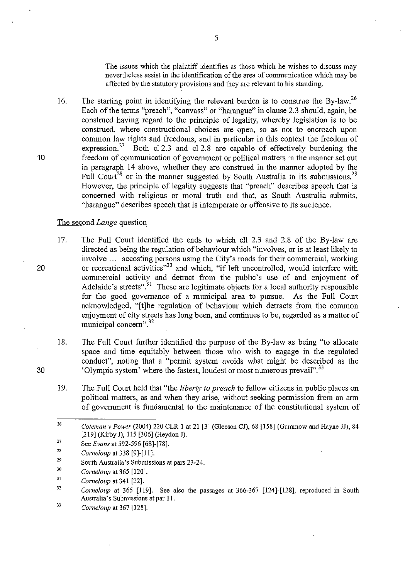The issues which the plaintiff identifies as those which he wishes to discuss may nevertheless assist in the identification of the area of communication which may be affected by the statutory provisions and they are relevant to his standing.

16. The starting point in identifying the relevant burden is to construe the By-law.<sup>26</sup> Each of the terms "preach", "canvass" or "harangue" in clause 2.3 should, again, be construed having regard to the principle of legality, whereby legislation is to be construed, where constructional choices are open, so as not to encroach upon common law rights and freedoms, and in particular in this context the freedom of expression.<sup>27</sup> Both cl 2.3 and cl 2.8 are capable of effectively burdening the freedom of communication of government or political matters in the manner set out in paragraph 14 above, whether they are construed in the manner adopted by the Full Court<sup>28</sup> or in the manner suggested by South Australia in its submissions.<sup>29</sup> However, the principle of legality suggests that "preach" describes speech that is concerned with religious or moral truth and that, as South Australia submits, "harangue" describes speech that is intemperate or offensive to its audience.

#### The second *Lange* question

- 17. The Full Court identified the ends to which ell 2.3 and 2.8 of the By-law are directed as being the regulation of behaviour which "involves, or is at least likely to involve ... accosting persons using the City's roads for their commercial, working or recreational activities"<sup>30</sup> and which, "if left uncontrolled, would interfere with commercial activity and detract from the public's use of and enjoyment of Adelaide's streets".<sup>31</sup> These are legitimate objects for a local authority responsible for the good governance of a municipal area to pursue. As the Full Court acknowledged, "[t]he regulation of behaviour which detracts from the common enjoyment of city streets has long been, and continues to be, regarded as a matter of municipal concern".<sup>32</sup>
- 18. The Full Court further identified the purpose of the By-law as being "to allocate space and time equitably between those who wish to engage in the regulated conduct", noting that a "permit system avoids what might be described as the 'Olympic system' where the fastest, loudest or most numerous prevail".<sup>33</sup>
- 19. The Full Court held that "the *liberty to preach* to fellow citizens in public places on political matters, as and when they arise, without seeking permission from an arm of government is fundamental to the maintenance of the constitutional system of

33 *Corneloup* at 367 [128]. 5

20

30

<sup>26</sup>  *Coleman v Power* (2004) 220 CLR 1 at 21 [3] (Gleeson CJ), 68 [158] (Gummow and Hayne JJ), 84 [219] (Kirby J), 115 [306] (Heydon J).

<sup>27</sup>  See *Evans* at 592-596 [68]-[78].

<sup>28</sup>  *Corneloup* at 338 [9]-[11].

<sup>29</sup>  South Australia's Submissions at pars 23-24.

<sup>30</sup>  *Corneloup* at 365 [120].

<sup>31</sup>  *Corneloup* at 341 [22].

<sup>32</sup>  *Corneloup* at 365 [119]. See also the passages at 366-367 [124]-[128], reproduced in South Australia's Submissions at par II.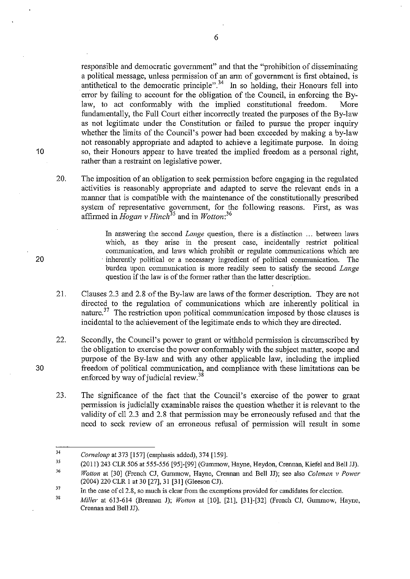responsible and democratic government" and that the "prohibition of disseminating a political message, unless permission of an arm of government is first obtained, is antithetical to the democratic principle".<sup>34</sup> In so holding, their Honours fell into error by failing to account for the obligation of the Council, in enforcing the Bylaw, to act conformably with the implied constitutional freedom. More fundamentally, the Full Court either incorrectly treated the purposes of the By-law as not legitimate under the Constitution or failed to pursue the proper inquiry whether the limits of the Council's power had been exceeded by making a by-law not reasonably appropriate and adapted to achieve a legitimate purpose. In doing so, their Honours appear to have treated the implied freedom as a personal right, rather than a restraint on legislative power.

20. The imposition of an obligation to seek permission before engaging in the regulated activities is reasonably appropriate and adapted to serve the relevant ends in a manner that is compatible with the maintenance of the constitutionally prescribed system of representative government, for the following reasons. First, as was affinned in *Hogan* v *Hinch<sup>35</sup>*and in *Wotton: <sup>36</sup>*

> In answering the second *Lange* question, there is a distinction ... between laws which, as they arise in the present case, incidentally restrict political conununication, and laws which prohibit or regnlate communications which are inherently political or a necessary ingredient of political communication. The burden upon connnunication is more readily seen to satisfy the second *Lange*  question if the law is of the former rather than the latter description.

- 21. Clauses 2.3 and 2.8 of the By-law are laws of the former description. They are not directed to the regulation of commnnications which are inherently political in nature.<sup>37</sup> The restriction upon political communication imposed by those clauses is incidental to the achievement of the legitimate ends to which they are directed.
- 22. Secondly, the Council's power to grant or withhold pennission is circumscribed by the obligation to exercise the power conformably with the subject matter, scope and purpose of the By-law and with any other applicable law, including the implied freedom of political communication, and compliance with these limitations can be enforced by way of judicial review.<sup>38</sup>
- 23. The significance of the fact that the Council's exercise of the power to grant permission is judicially examinable raises the question whether it is relevant to the validity of cll 2.3 and 2.8 that permission may be erroneously refused and that the need to seek review of an erroneous refusal of pennission will result in some

6

20

10

<sup>34</sup>  *Come/oup* at 373 [!57] (emphasis added), 374 [159].

<sup>35</sup>  (2011) 243 CLR 506 at 555-556 [95]-[99] (Gummow, Hayne, Heydon, Crem1an, Kiefel and Bell JJ).

<sup>36</sup>  *Wotton* at [30] (French CJ, Gummow, Hayne, Crennan and Bell JJ); see also *Coleman v Power*  (2004) 220 CLR I at 30 [27], 31 [31] (Gleeson CJ).

<sup>37</sup>  In the case of cl 2.8, so much is clear from the exemptions provided for candidates for election.

<sup>38</sup>  *Miller* at 613-614 (Brennan J); *Wotton* at [10], [21], [31]-[32] (French CJ, Gummow, Hayne, Crennan and Bell JJ).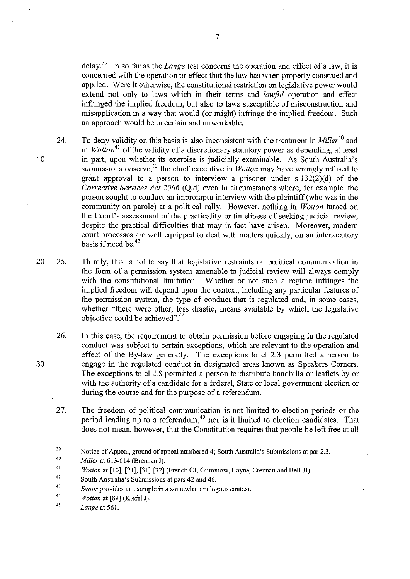delay. 39 In so far as the *Lange* test concerns the operation and effect of a law, it is concerned with the operation or effect that the law has when properly construed and applied. Were it otherwise, the constitutional restriction on legislative power would extend not only to laws which in their terms and *lawful* operation and effect infringed the implied freedom, but also to laws susceptible of misconstmction and misapplication in a way that would (or might) infringe the implied freedom. Such an approach would be uncertain and unworkable.

- 24. To deny validity on this basis is also inconsistent with the treatment in *Miller*<sup>40</sup> and in *Wotton*<sup>41</sup> of the validity of a discretionary statutory power as depending, at least in part, upon whether its exercise is judicially examinable. As South Australia's submissions observe,<sup>42</sup> the chief executive in *Wotton* may have wrongly refused to grant approval to a person to interview a prisoner under s  $132(2)(d)$  of the *Corrective Services Act 2006* (Old) even in circumstances where, for example, the person sought to conduct an impromptu interview with the plaintiff (who was in the community on parole) at a political rally. However, nothing in *Wotton* turned on the Court's assessment of the practicality or timeliness of seeking judicial review, despite the practical difficulties that may in fact have arisen. Moreover, modern court processes are well equipped to deal with matters quickly, on an interlocutory basis if need be. 43
- 20 25. Thirdly, this is not to say that legislative restraints on political communication in the form of a permission system amenable to judicial review will always comply with the constitutional limitation. Whether or not such a regime infringes the implied freedom will depend upon the context, including any particular features of the permission system, the type of conduct that is regulated and, in some cases, whether "there were other, less drastic, means available by which the legislative objective could be achieved".<sup>44</sup>
	- 26. In this case, the requirement to obtain permission before engaging in the regulated conduct was subject to certain exceptions, which are relevant to the operation and effect of the By-law generally. The exceptions to cl  $2.3$  permitted a person to engage in the regulated conduct in designated areas known as Speakers Corners. The exceptions to cl 2.8 permitted a person to distribute handbills or leaflets by or with the authority of a candidate for a federal, State or local government election or during the course and for the purpose of a referendum.
	- 27. The freedom of political communication is not limited to election periods or the period leading up to a referendum, 45 nor is it limited to election candidates. That does not mean, however, that the Constitution requires that people be left free at all

10

<sup>39</sup>  Notice of Appeal, ground of appeal numbered 4; South Australia's Submissions at par 2.3.

<sup>40</sup>  *Miller* at 613-614 (Brennan J).

<sup>41</sup>  *Wotton at* [10], [21], [31]-[32] (French CJ, Gummow, Hayne, Crennan and Bell JJ).

<sup>42</sup>  South Australia's Submissions at pars 42 and 46.

<sup>43</sup>  *Evans* **provides an example in a somewhat analogous context.** 

<sup>44</sup>  *Wotton* at [89] (Kiefel J).

<sup>45</sup>  *Lange* at 561.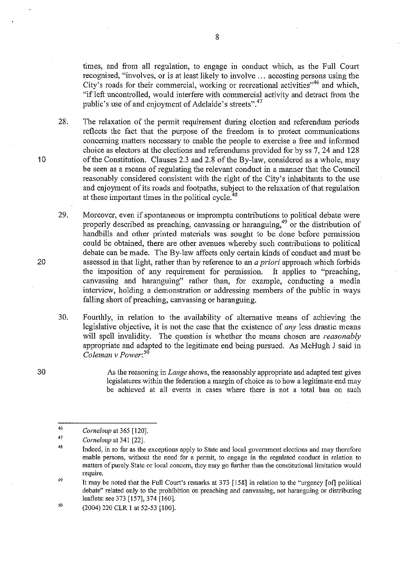times, and from all regulation, to engage in conduct which, as the Full Court recognised, "involves, or is at least likely to involve ... accosting persons using the City's roads for their commercial, working or recreational activities<sup>146</sup> and which, "if left uncontrolled, would interfere with commercial activity and detract from the public's use of and enjoyment of Adelaide's streets".<sup>47</sup>

28. The relaxation of the permit requirement during election and referendum periods reflects the fact that the purpose of the freedom is to protect communications conceming matters necessary to enable the people to exercise a free and infonned choice as electors at the elections and referendums provided for by ss 7, 24 and 128 of the Constitution. Clauses 2.3 and 2.8 of the By-law, considered as a whole, may be seen as a means of regulating the relevant conduct in a manner that the Council reasonably considered consistent with the right of the City's inhabitants to the use and enjoyment of its roads and footpaths, subject to the relaxation of that regulation at these important times in the political cycle. $48$ 

29. Moreover, even if spontaneous or impromptu contributions to political debate were properly described as preaching, canvassing or haranguing,<sup>49</sup> or the distribution of handbills and other printed materials was sought to be done before permission could be obtained, there are other avenues whereby such contributions to political debate can be made. The By-law affects only certain kinds of conduct and must be assessed in that light, rather than by reference to an *a priori* approach which forbids the imposition of any requirement for permission. It applies to "preaching, canvassing and haranguing" rather than, for example, conducting a media interview, holding a demonstration or addressing members of the public in ways falling short of preaching, canvassing or haranguing.

30. Fourthly, in relation to the availability of altemative means of achieving the legislative objective, it is not the case that the existence of *any* less drastic means will spell invalidity. The question is whether the means chosen are *reasonably*  appropriate and adapted to the legitimate end being pursued. As McHugh J said in *Coleman v Power: <sup>5</sup>*

> As the reasoning in *Lange* shows, the reasonably appropriate and adapted test gives legislatures within the federation a margin of choice as to how a legitimate end may be achieved at all events in cases where there is not a total ban on such

20

30

<sup>46</sup>  *Corneloup* at 365 [120].

<sup>47</sup>  *Corneloup* at 341 [22].

<sup>48</sup>  Indeed, in so far as the exceptions apply to State and local government elections and may therefore **enable persons, without the need for a permit, to engage in the regulated conduct in relation to**  matters of purely State or local concern, they may go further than the constitutional limitation would **require.** 

<sup>49</sup>  It may be noted that the Full Court's remarks at 373 [158] in relation to the "urgency [of] political debate" related only to the prohibition on preaching and canvassing, not haranguing or distributing leaflets: see 373 [157], 374 [160].

*<sup>50</sup>*  (2004) 220 CLR I at 52-53 [100].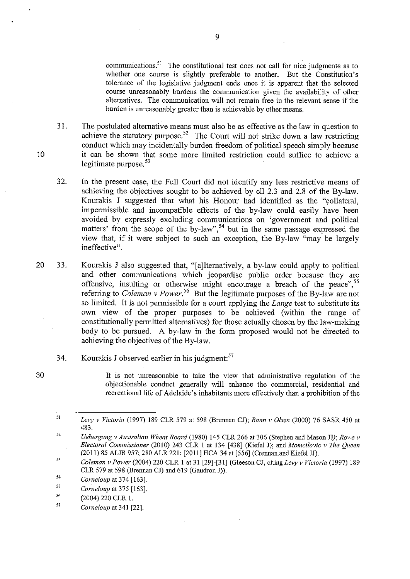communications.<sup>51</sup> The constitutional test does not call for nice judgments as to whether one course is slightly preferable to another. But the Constitution's tolerance of the legislative judgment ends once it is apparent that the selected course unreasonably burdens the communication given the availability of other alternatives. The connnunication will not remain free in the relevant sense if the burden is unreasonably greater than is achievable by other means.

- 31. The postulated alternative means must also be as effective as the law in question to achieve the statutory purpose.<sup>52</sup> The Court will not strike down a law restricting conduct which may incidentally burden freedom of political speech simply because it can be shown that some more limited restriction could suffice to achieve a legitimate purpose. $53$
- 32. In the present case, the Full Court did not identify any less restrictive means of achieving the objectives sought to be achieved by ell 2.3 and 2.8 of the By-law. Kourakis J suggested that what his Honour had identified as the "collateral, impennissible and incompatible effects of the by-law could easily have been avoided by expressly excluding communications on 'govennnent and political matters' from the scope of the by-law",<sup>54</sup> but in the same passage expressed the view that, if it were subject to such an exception, the By-law "may be largely ineffective".
- 20 33. Kourakis J also suggested that, "[a]lternatively, a by-law could apply to political and other communications which jeopardise public order because they are offensive, insulting or otherwise might encourage a breach of the peace",  $55$ referring to *Coleman v Power*.<sup>56</sup> But the legitimate purposes of the By-law are not so limited. It is not permissible for a court applying the *Lange* test to substitute its own view of the proper purposes to be achieved (within the range of constitutionally pennitted alternatives) for those actually chosen by the law-making body to be pursued. A by-law in the form proposed would not be directed to achieving the objectives of the By-law.
	- 34. Kourakis J observed earlier in his judgment:<sup>57</sup>
- 30

10

It is not unreasonable to take the view that administrative regulation of the objectionable conduct generally will enhance the commercial, residential and recreational life of Adelaide's inhabitants more effectively than a prohibition of the

<sup>51</sup>  *Levy v Victoria* (1997) 189 CLR 579 at 598 (Brennan CJ); *Rann v Olsen* (2000) 76 SASR 450 at 483.

<sup>52</sup>  *Uebergang v Australian Wheat Board* (1980) 145 CLR 266 at 306 (Stephen and Mason JJ); *Rowe v Electoral Commissioner* (2010) 243 CLR I at 134 [438] (Kiefel J); and *Momcilovic v The Queen*  (2011) 85 ALJR 957; 280 ALR 221; [2011] HCA 34 at [556] (Crennan.and Kiefel JJ).

<sup>53</sup>  *Coleman v Power* (2004) 220 CLR I at 31 [29]-[31] (Gleeson CJ, citing *Le1y v Victoria* (1997) 189 CLR 579 at 598 (Brennan CJ) and  $619$  (Gaudron J)).

<sup>54</sup>  *Comeloup* at 374 [163].

<sup>55</sup>  *Comeloup* at 375 [163].

*<sup>56</sup>*  (2004) 220 CLR I.

<sup>57</sup>  *Corne/oup* at 341 [22].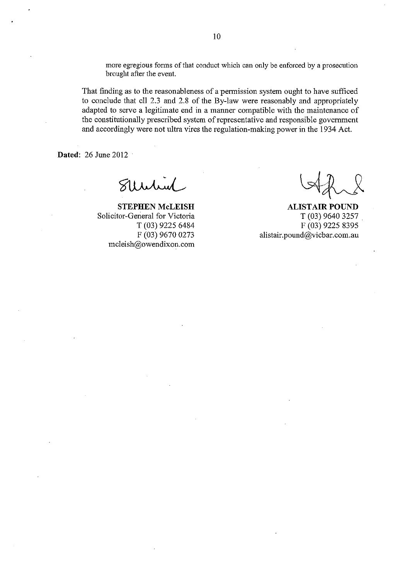more egregious forms of that conduct which can only be enforced by a prosecution brought after the event.

That finding as to the reasonableness of a pennission system ought to have sufficed to conclude that ell 2.3 and 2.8 of the By-law were reasonably and appropriately adapted to serve a legitimate end in a manner compatible with the maintenance of the constitutionally prescribed system of representative and responsible government and accordingly were not ultra vires the regulation-making power in the 1934 Act.

**Dated:** 26 June 2012

Stertin

**STEPHEN McLEISH**  Solicitor-General for Victoria T (03) 9225 6484 F (03) 9670 0273 mcleish@owendixon.com

**ALISTAIR POUND**  T (03) 9640 3257 . F (03) 9225 8395 alistair.pound@vicbar.com.au